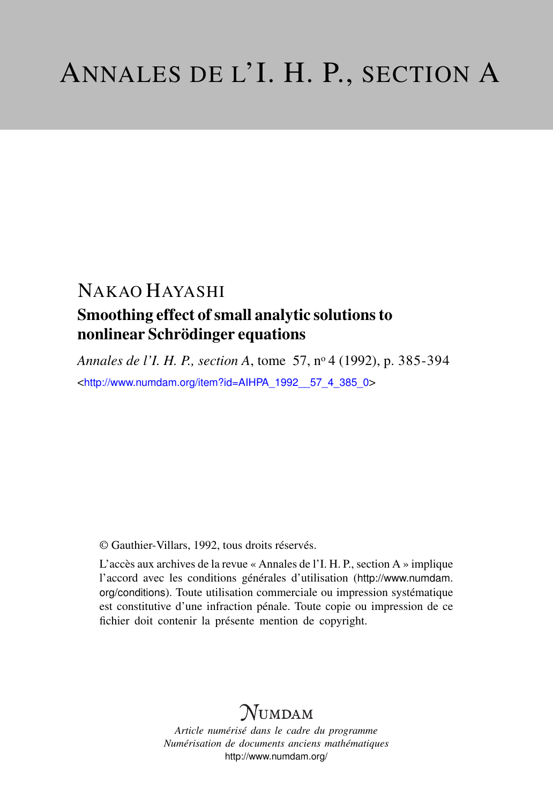# NAKAO HAYASHI

## Smoothing effect of small analytic solutions to nonlinear Schrödinger equations

*Annales de l'I. H. P., section A*, tome 57, n<sup>o</sup> 4 (1992), p. 385-394 <[http://www.numdam.org/item?id=AIHPA\\_1992\\_\\_57\\_4\\_385\\_0](http://www.numdam.org/item?id=AIHPA_1992__57_4_385_0)>

© Gauthier-Villars, 1992, tous droits réservés.

L'accès aux archives de la revue « Annales de l'I. H. P., section A » implique l'accord avec les conditions générales d'utilisation ([http://www.numdam.](http://www.numdam.org/conditions) [org/conditions](http://www.numdam.org/conditions)). Toute utilisation commerciale ou impression systématique est constitutive d'une infraction pénale. Toute copie ou impression de ce fichier doit contenir la présente mention de copyright.

# $N$ UMDAM

*Article numérisé dans le cadre du programme Numérisation de documents anciens mathématiques* <http://www.numdam.org/>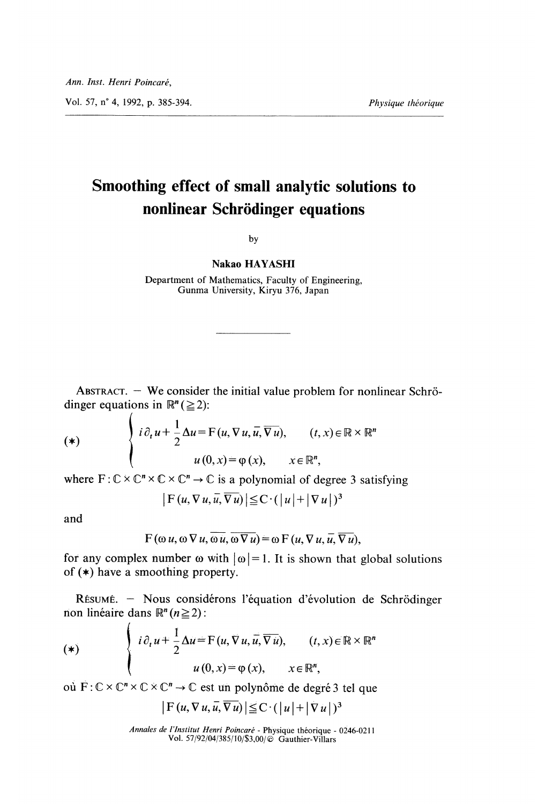Vol. 57, n° 4, 1992, p. 385-394. *Physique théorique* 

## Smoothing effect of small analytic solutions to nonlinear Schrödinger equations

by

#### Nakao HAYASHI

Department of Mathematics, Faculty of Engineering, Gunma University, Kiryu 376, Japan

ABSTRACT.  $-$  We consider the initial value problem for nonlinear Schrödinger equations in  $\mathbb{R}^n \, (\geq 2)$ :

$$
(\ast) \qquad \qquad \left\{ \begin{array}{ll} i \, \partial_t u + \frac{1}{2} \, \Delta u = \mathrm{F}\left(u, \nabla u, \overline{u}, \overline{\nabla u}\right), & (t, x) \in \mathbb{R} \times \mathbb{R}^n \\ u \left(0, x\right) = \varphi\left(x\right), & x \in \mathbb{R}^n, \end{array} \right.
$$

where  $F: \mathbb{C} \times \mathbb{C}^n \times \mathbb{C} \times \mathbb{C}^n \to \mathbb{C}$  is a polynomial of degree 3 satisfying

$$
|F(u, \nabla u, \overline{u}, \overline{\nabla u})| \leq C \cdot (|u| + |\nabla u|)^3
$$

and

$$
F(\omega u, \omega \nabla u, \overline{\omega u}, \overline{\omega \nabla u}) = \omega F(u, \nabla u, \overline{u}, \overline{\nabla u}),
$$

for any complex number  $\omega$  with  $|\omega|=1$ . It is shown that global solutions of (\*) have a smoothing property.

RESUME. - Nous considérons l'équation d'évolution de Schrödinger non linéaire dans  $\mathbb{R}^n$  ( $n \ge 2$ ):

$$
(*)\qquad\left\{\begin{array}{ll} i\,\partial_t\,u+\frac{1}{2}\,\Delta u\!=\!\mathrm{F}\left(u,\nabla u,\vec{u},\overline{\nabla\,u}\right), & (t,x)\!\in\!\mathbb{R}\times\mathbb{R}^n\\ u\left(0,x\right)\!=\!\varphi\left(x\right), & x\!\in\mathbb{R}^n,\end{array}\right.
$$

où  $\overrightarrow{F}: \mathbb{C} \times \mathbb{C}^n \times \mathbb{C} \times \mathbb{C}^n \to \mathbb{C}$  est un polynôme de degré 3 tel que

$$
|F(u, \nabla u, \overline{u}, \overline{\nabla u})| \leq C \cdot (|u| + |\nabla u|)^3
$$

Annales de l'Institut Henri Poincaré - Physique théorique - 0246-0211<br>Vol. 57/92/04/385/10/\$3,00/© Gauthier-Villars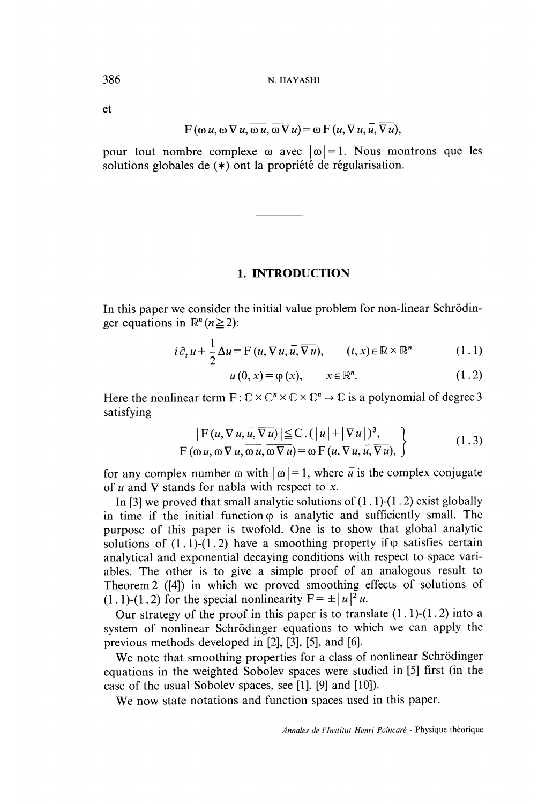et

$$
F(\omega u, \omega \nabla u, \overline{\omega u}, \overline{\omega \nabla u}) = \omega F(u, \nabla u, \overline{u}, \overline{\nabla u}),
$$

pour tout nombre complexe  $\omega$  avec  $|\omega|=1$ . Nous montrons que les solutions globales de  $(*)$  ont la propriété de régularisation.

## 1. INTRODUCTION

In this paper we consider the initial value problem for non-linear Schrodinger equations in  $\mathbb{R}^n$  ( $n \ge 2$ ):

$$
i \partial_t u + \frac{1}{2} \Delta u = F(u, \nabla u, \overline{u}, \overline{\nabla u}), \qquad (t, x) \in \mathbb{R} \times \mathbb{R}^n \tag{1.1}
$$

$$
u(0, x) = \varphi(x), \qquad x \in \mathbb{R}^n. \tag{1.2}
$$

Here the nonlinear term  $F: \mathbb{C} \times \mathbb{C}^n \times \mathbb{C} \times \mathbb{C}^n \to \mathbb{C}$  is a polynomial of degree 3 satisfying

$$
\left| F(u, \nabla u, \overline{u}, \overline{\nabla u}) \right| \leq C \cdot (|u| + |\nabla u|)^3,
$$
  
 
$$
F(\omega u, \omega \nabla u, \overline{\omega u}, \overline{\omega \nabla u}) = \omega F(u, \nabla u, \overline{u}, \overline{\nabla u}),
$$
 (1.3)

for any complex number  $\omega$  with  $|\omega|=1$ , where  $\overline{u}$  is the complex conjugate of u and  $\nabla$  stands for nabla with respect to x.

In [3] we proved that small analytic solutions of  $(1.1)-(1.2)$  exist globally in time if the initial function  $\varphi$  is analytic and sufficiently small. The purpose of this paper is twofold. One is to show that global analytic solutions of  $(1.1)-(1.2)$  have a smoothing property if  $\varphi$  satisfies certain analytical and exponential decaying conditions with respect to space variables. The other is to give a simple proof of an analogous result to Theorem 2 ([4]) in which we proved smoothing effects of solutions of  $(1 \cdot 1)$ - $(1 \cdot 2)$  for the special nonlinearity  $F = \pm |u|^2 u$ .

Our strategy of the proof in this paper is to translate  $(1.1)-(1.2)$  into a system of nonlinear Schrodinger equations to which we can apply the previous methods developed in [2], [3], [5], and [6].

We note that smoothing properties for a class of nonlinear Schrödinger equations in the weighted Sobolev spaces were studied in [5] first (in the case of the usual Sobolev spaces, see  $[1]$ ,  $[9]$  and  $[10]$ ).

We now state notations and function spaces used in this paper.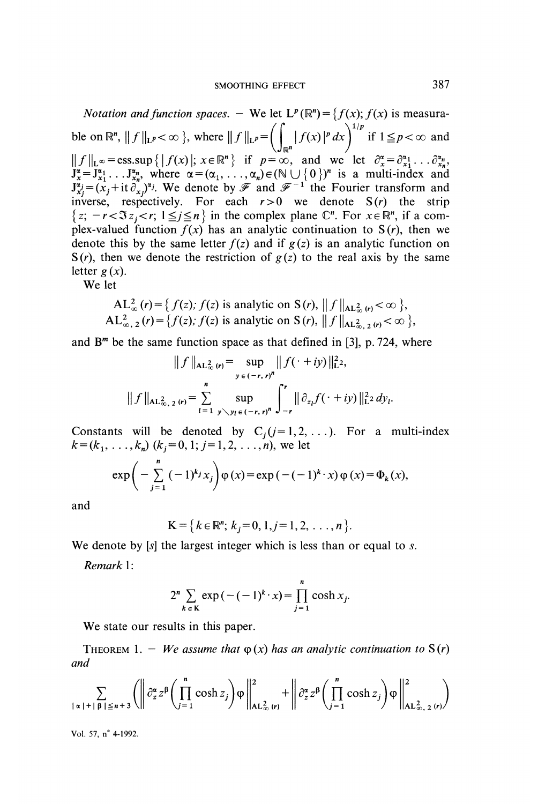*Notation and function spaces.* - We let  $L^p(\mathbb{R}^n) = \{f(x); f(x) \text{ is measurable on } \mathbb{R}^n, ||f||_{L^p} < \infty \}$ , where  $||f||_{L^p} = \left(\int_{\mathbb{R}^n} |f(x)|^p dx\right)^{1/p}$  if  $1 \leq p < \infty$  and  $||f||_{L^{\infty}} = \text{ess}. \sup \{ |f(x)|; x \in \mathbb{R}^{n} \}$  if  $p = \infty$ , and we let  $\partial_{x}^{\alpha} = \partial_{x_1}^{\alpha_1} \dots \partial_{x_n}^{\alpha_n}$ ,<br>  $J_x^{\alpha} = J_{x_1}^{\alpha_1} \dots J_{x_n}^{\alpha_n}$ , where  $\alpha = (\alpha_1, \dots, \alpha_n) \in (\mathbb{N} \cup \{0\})^n$  is a multi-index and  $J_{x_j}^{\alpha_j} = (x_j + \text$ inverse, respectively. For each  $r > 0$  we denote  $S(r)$  the strip  $\{z; -r < \Im z_i < r; 1 \leq j \leq n \}$  in the complex plane  $\mathbb{C}^n$ . For  $x \in \mathbb{R}^n$ , if a complex-valued function  $f(x)$  has an analytic continuation to  $S(r)$ , then we denote this by the same letter  $f(z)$  and if  $g(z)$  is an analytic function on  $S(r)$ , then we denote the restriction of  $g(z)$  to the real axis by the same letter  $g(x)$ .

We let

$$
AL_{\infty}^{2}(r) = \{ f(z), f(z) \text{ is analytic on } S(r), ||f||_{AL_{\infty}^{2}(r)} < \infty \},
$$
  
 
$$
AL_{\infty, 2}^{2}(r) = \{ f(z), f(z) \text{ is analytic on } S(r), ||f||_{AL_{\infty, 2}^{2}(r)} < \infty \},
$$

and  $B<sup>m</sup>$  be the same function space as that defined in [3], p. 724, where

$$
|| f ||_{\mathbf{AL}_{\infty}^2(\mathbf{r})} = \sup_{y \in (-r, r)^n} || f(\cdot + iy) ||_{\mathbf{L}^2}^2,
$$
  

$$
|| f ||_{\mathbf{AL}_{\infty, 2}^2(\mathbf{r})} = \sum_{l=1}^n \sup_{y \setminus y_l \in (-r, r)^n} \int_{-r}^r || \partial_{z_l} f(\cdot + iy) ||_{\mathbf{L}^2}^2 dy_l
$$

Constants will be denoted by  $C_j$  ( $j = 1, 2, ...$ ). For a multi-index  $k = (k_1, ..., k_n)$  ( $k_j = 0, 1; j = 1, 2, ..., n$ ), we let

$$
\exp\bigg(-\sum_{j=1}^n (-1)^{k_j} x_j\bigg) \varphi(x) = \exp\big(-(-1)^{k} \cdot x\big) \varphi(x) = \Phi_k(x),
$$

and

$$
\mathbf{K} = \{k \in \mathbb{R}^n; \, k_i = 0, 1, j = 1, 2, \ldots, n\}.
$$

We denote by  $[s]$  the largest integer which is less than or equal to s.

Remark 1:

$$
2^{n} \sum_{k \in K} \exp\left(-(-1)^{k} \cdot x\right) = \prod_{j=1}^{n} \cosh x_{j}.
$$

We state our results in this paper.

THEOREM 1. - We assume that  $\varphi(x)$  has an analytic continuation to  $S(r)$ and

$$
\sum_{|\alpha|+|\beta|\leq n+3} \left( \left\| \partial_z^{\alpha} z^{\beta} \left( \prod_{j=1}^n \cosh z_j \right) \varphi \right\|_{\mathbf{AL}^2_{\infty}(r)}^2 + \left\| \partial_z^{\alpha} z^{\beta} \left( \prod_{j=1}^n \cosh z_j \right) \varphi \right\|_{\mathbf{AL}^2_{\infty,2}(r)}^2 \right)
$$

Vol. 57, n° 4-1992.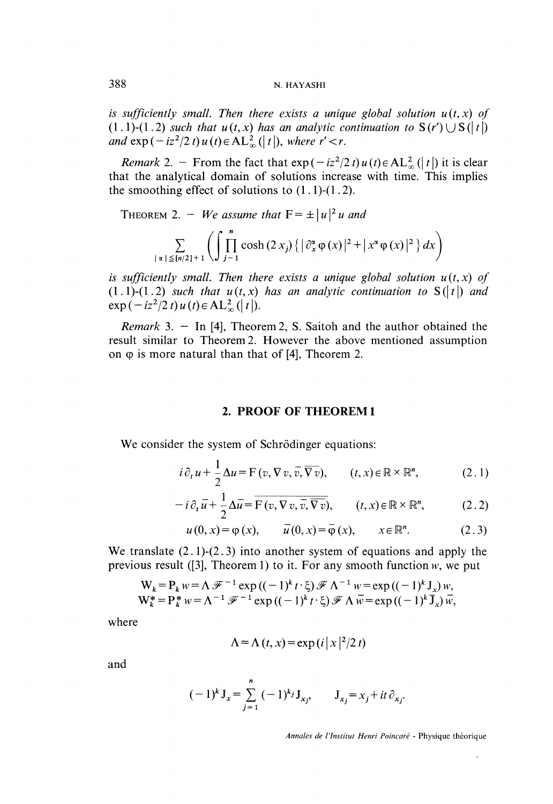#### 388 N. HAYASHI

is sufficiently small. Then there exists a unique global solution  $u(t, x)$  of  $(1 \cdot 1)$ - $(1 \cdot 2)$  such that  $u(t, x)$  has an analytic continuation to  $S(r') \cup S(l t)$ and  $\exp(-iz^2/2t)u(t)\in AL_{\infty}^2(|t|),$  where  $r' < r$ .

*Remark* 2. - From the fact that  $exp(-iz^2/2t)u(t) \in AL_{\infty}^2(|t|)$  it is clear that the analytical domain of solutions increase with time. This implies the smoothing effect of solutions to  $(1.1)-(1.2)$ .

THEOREM 2. - We assume that  $F = \pm |u|^2 u$  and

$$
\sum_{|\alpha|\leq [n/2]+1}\left(\int_{j-1}^n\cosh{(2x_j)}\left\{\left|\partial_x^{\alpha}\varphi(x)\right|^2+\left|x^{\alpha}\varphi(x)\right|^2\right\}dx\right)
$$

is sufficiently small. Then there exists a unique global solution  $u(t, x)$  of  $(1 \cdot 1)$ - $(1 \cdot 2)$  such that  $u(t, x)$  has an analytic continuation to  $S(|t|)$  and  $\exp(-iz^2/2 t) u(t) \in AL_{\infty}^2(|t|).$ 

*Remark* 3. - In [4], Theorem 2, S. Saitoh and the author obtained the result similar to Theorem 2. However the above mentioned assumption on  $\varphi$  is more natural than that of [4], Theorem 2.

#### 2. PROOF OF THEOREM 1

We consider the system of Schrödinger equations:

$$
i \, \partial_t \, u + \frac{1}{2} \Delta u = \mathcal{F} \left( v, \nabla \, v, \overline{v}, \overline{\nabla \, v} \right), \qquad (t, x) \in \mathbb{R} \times \mathbb{R}^n, \tag{2.1}
$$

$$
-i\partial_t \overline{u} + \frac{1}{2}\Delta \overline{u} = \overline{\mathcal{F}(v, \nabla v, \overline{v}, \nabla v)}, \qquad (t, x) \in \mathbb{R} \times \mathbb{R}^n, \tag{2.2}
$$

$$
u(0, x) = \varphi(x), \qquad \bar{u}(0, x) = \bar{\varphi}(x), \qquad x \in \mathbb{R}^n.
$$
 (2.3)

We translate  $(2.1)$ - $(2.3)$  into another system of equations and apply the previous result ([3], Theorem 1) to it. For any smooth function  $w$ , we put

$$
W_k = P_k w = \Lambda \mathcal{F}^{-1} \exp ((-1)^k t \cdot \xi) \mathcal{F} \Lambda^{-1} w = \exp ((-1)^k J_x) w,
$$
  
\n
$$
W_k^* = P_k^* w = \Lambda^{-1} \mathcal{F}^{-1} \exp ((-1)^k t \cdot \xi) \mathcal{F} \Lambda \overline{w} = \exp ((-1)^k \overline{J}_x) \overline{w},
$$

where

$$
\Lambda = \Lambda(t, x) = \exp(i |x|^2 / 2 t)
$$

and

$$
(-1)^{k} J_{x} = \sum_{j=1}^{n} (-1)^{k_{j}} J_{x_{j}}, \qquad J_{x_{j}} = x_{j} + it \partial_{x_{j}}.
$$

Annales de l'Institut Henri Poincaré - Physique théorique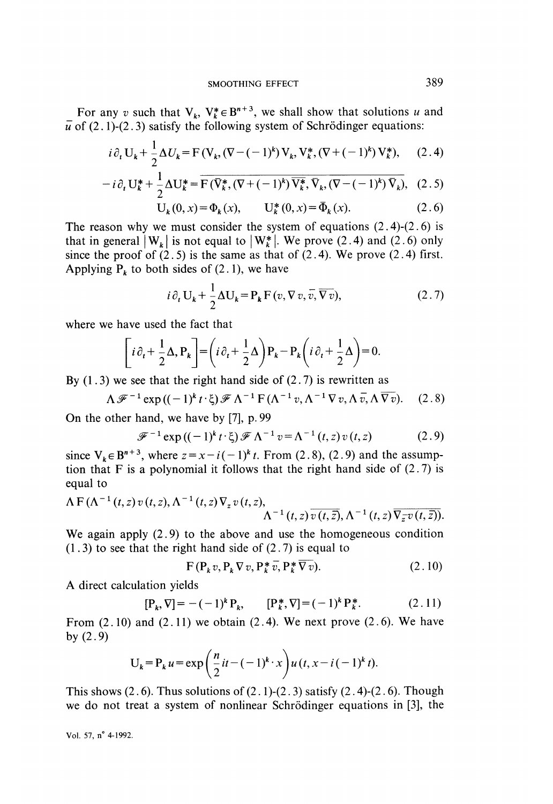For any v such that  $V_k$ ,  $V_k^* \in B^{n+3}$ , we shall show that solutions u and  $\overline{u}$  of (2.1)-(2.3) satisfy the following system of Schrödinger equations:

$$
i \, \partial_t \, U_k + \frac{1}{2} \Delta U_k = F \left( V_k, \left( \nabla - (-1)^k \right) V_k, V_k^*, \left( \nabla + (-1)^k \right) V_k^* \right), \tag{2.4}
$$

$$
-i\partial_t \mathbf{U}_k^* + \frac{1}{2} \Delta \mathbf{U}_k^* = \overline{\mathbf{F}(\overline{\mathbf{V}}_k^*, (\nabla + (-1)^k) \overline{\mathbf{V}_k^*}, \overline{\mathbf{V}}_k, (\nabla - (-1)^k) \overline{\mathbf{V}_k}}), \quad (2.5)
$$

$$
U_k(0, x) = \Phi_k(x), \qquad U_k^*(0, x) = \bar{\Phi}_k(x). \tag{2.6}
$$

The reason why we must consider the system of equations  $(2.4)-(2.6)$  is that in general  $|W_k|$  is not equal to  $|W_k^*|$ . We prove (2.4) and (2.6) only since the proof of  $(2.5)$  is the same as that of  $(2.4)$ . We prove  $(2.4)$  first. Applying  $P_k$  to both sides of (2.1), we have

$$
i \, \partial_t \, U_k + \frac{1}{2} \Delta U_k = P_k \, F \left( v, \nabla v, \overline{v}, \overline{\nabla v} \right), \tag{2.7}
$$

where we have used the fact that

$$
\left[i\partial_t + \frac{1}{2}\Delta, P_k\right] = \left(i\partial_t + \frac{1}{2}\Delta\right)P_k - P_k\left(i\partial_t + \frac{1}{2}\Delta\right) = 0.
$$

By  $(1.3)$  we see that the right hand side of  $(2.7)$  is rewritten as

$$
\Lambda \mathscr{F}^{-1} \exp\left((-1)^k t \cdot \xi\right) \mathscr{F} \Lambda^{-1} \operatorname{F}(\Lambda^{-1} v, \Lambda^{-1} \nabla v, \Lambda \overline{v}, \Lambda \overline{\nabla v}). \quad (2.8)
$$

On the other hand, we have by [7], p. 99

$$
\mathcal{F}^{-1}\exp\left((-1)^{k}t\cdot\xi\right)\mathcal{F}\Lambda^{-1}v=\Lambda^{-1}\left(t,z\right)v\left(t,z\right) \qquad (2.9)
$$

since  $V_k \in B^{n+3}$ , where  $z = x - i(-1)^k t$ . From (2.8), (2.9) and the assumption that F is a polynomial it follows that the right hand side of  $(2.7)$  is equal to

$$
\Lambda \to (\Lambda^{-1}(t,z) \, v(t,z), \Lambda^{-1}(t,z) \nabla_z v(t,z), \Lambda^{-1}(t,z) \, \overline{v(t,\overline{z})}, \Lambda^{-1}(t,z) \, \overline{\nabla_z v(t,\overline{z})}).
$$

We again apply  $(2.9)$  to the above and use the homogeneous condition  $(1.3)$  to see that the right hand side of  $(2.7)$  is equal to

$$
F(P_k v, P_k \nabla v, P_k^* \overline{v}, P_k^* \overline{\nabla v}).
$$
\n(2.10)

A direct calculation yields

$$
[\mathbf{P}_k, \nabla] = -(-1)^k \mathbf{P}_k, \qquad [\mathbf{P}_k^*, \nabla] = (-1)^k \mathbf{P}_k^*.
$$
 (2.11)

From  $(2.10)$  and  $(2.11)$  we obtain  $(2.4)$ . We next prove  $(2.6)$ . We have by  $(2.9)$ 

$$
U_k = P_k u = \exp\left(\frac{n}{2}it - (-1)^k \cdot x\right) u(t, x - i(-1)^k t).
$$

This shows  $(2.6)$ . Thus solutions of  $(2.1)-(2.3)$  satisfy  $(2.4)-(2.6)$ . Though we do not treat a system of nonlinear Schrodinger equations in [3], the

Vol. 57, n° 4-1992.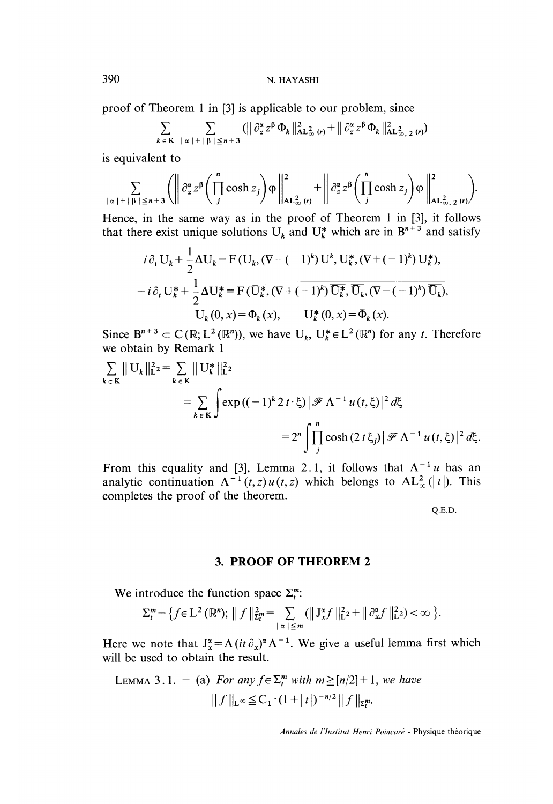proof of Theorem 1 in [3] is applicable to our problem, since

$$
\sum_{k \in \mathcal{K}} \sum_{|\alpha|+|\beta| \leq n+3} (||\partial_z^{\alpha} z^{\beta} \Phi_k||_{\text{AL}_{\infty}^2(r)}^2 + ||\partial_z^{\alpha} z^{\beta} \Phi_k||_{\text{AL}_{\infty,2}^2(r)}^2)
$$

is equivalent to

$$
\sum_{|\alpha|+|\beta|\leq n+3} \left( \left\| \partial_z^{\alpha} z^{\beta} \left( \prod_{j}^{n} \cosh z_j \right) \varphi \right\|_{\mathbf{AL}_{\infty}^2(\mathbf{r})}^2 + \left\| \partial_z^{\alpha} z^{\beta} \left( \prod_{j}^{n} \cosh z_j \right) \varphi \right\|_{\mathbf{AL}_{\infty,2}^2(\mathbf{r})}^2 \right).
$$

Hence, in the same way as in the proof of Theorem 1 in [3], it follows that there exist unique solutions  $U_k$  and  $U_k^*$  which are in  $B^{n+3}$  and satisfy

$$
i\partial_t \mathbf{U}_k + \frac{1}{2} \Delta \mathbf{U}_k = \mathbf{F} \left( \mathbf{U}_k, (\nabla - (-1)^k) \mathbf{U}^k, \mathbf{U}_k^*, (\nabla + (-1)^k) \mathbf{U}_k^* \right),
$$
  
\n
$$
-i\partial_t \mathbf{U}_k^* + \frac{1}{2} \Delta \mathbf{U}_k^* = \overline{\mathbf{F}(\overline{\mathbf{U}_k^*}, (\nabla + (-1)^k) \overline{\mathbf{U}_k^*}, \overline{\mathbf{U}_k}, (\nabla - (-1)^k) \overline{\mathbf{U}_k}}),
$$
  
\n
$$
\mathbf{U}_k(0, x) = \Phi_k(x), \qquad \mathbf{U}_k^*(0, x) = \overline{\Phi}_k(x).
$$

Since  $B^{n+3} \subset C(\mathbb{R}; L^2(\mathbb{R}^n))$ , we have  $U_k, U_k^* \in L^2(\mathbb{R}^n)$  for any t. Therefore we obtain by Remark 1

$$
\sum_{k \in \mathbf{K}} || \mathbf{U}_k ||_{\mathbf{L}^2}^2 = \sum_{k \in \mathbf{K}} || \mathbf{U}_k^* ||_{\mathbf{L}^2}^2
$$
  
= 
$$
\sum_{k \in \mathbf{K}} \int \exp((-1)^k 2 t \cdot \xi) |\mathcal{F} \Lambda^{-1} u(t, \xi)|^2 d\xi
$$
  
= 
$$
2^n \int \prod_j \cosh(2 t \xi_j) |\mathcal{F} \Lambda^{-1} u(t, \xi)|^2 d\xi.
$$

From this equality and [3], Lemma 2.1, it follows that  $\Lambda^{-1}u$  has an analytic continuation  $\Lambda^{-1}(t, z) u(t, z)$  which belongs to  $\Lambda L_{\infty}^{2}(|t|)$ . This completes the proof of the theorem.

Q.E.D.

#### 3. PROOF OF THEOREM 2

We introduce the function space  $\Sigma_t^m$ :

$$
\Sigma_t^m = \left\{ f \in L^2 \left( \mathbb{R}^n \right); \; \left\| f \right\|_{\Sigma_t^m}^2 = \sum_{|\alpha| \leq m} \left( \left\| \mathbf{J}_x^{\alpha} f \right\|_{\mathbf{L}^2}^2 + \left\| \partial_x^{\alpha} f \right\|_{\mathbf{L}^2}^2 \right) < \infty \; \right\}.
$$

Here we note that  $J_x^{\alpha} = \Lambda (it \partial_x)^{\alpha} \Lambda^{-1}$ . We give a useful lemma first which will be used to obtain the result.

LEMMA 3.1. – (a) For any 
$$
f \in \sum_{t}^{m} with \, m \geq [n/2] + 1
$$
, we have  $\|f\|_{\mathbf{L}^{\infty}} \leq C_1 \cdot (1 + |t|)^{-n/2} \|f\|_{\mathbf{E}_t^m}$ .

Annales de l'Institut Henri Poincaré - Physique théorique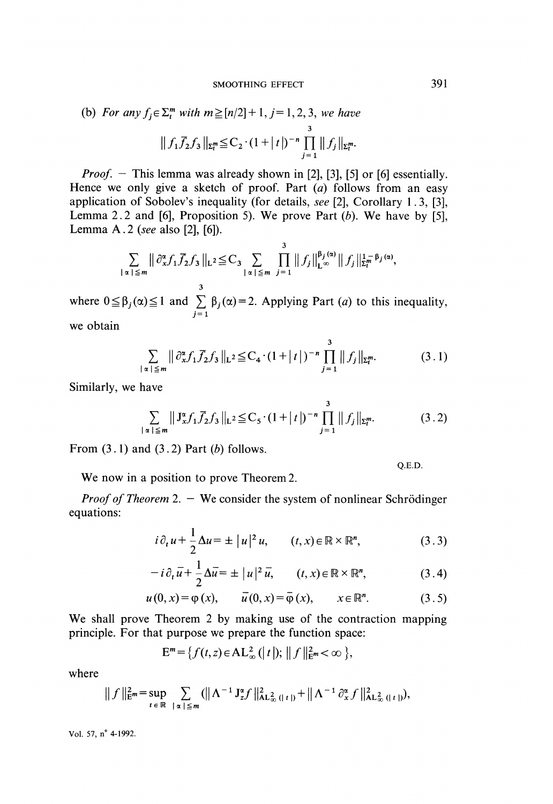(b) For any 
$$
f_j \in \Sigma_t^m
$$
 with  $m \geq [n/2]+1$ ,  $j=1, 2, 3$ , we have  

$$
|| f_1 \overline{f_2} f_3 ||_{\Sigma_t^m} \leq C_2 \cdot (1+|t|)^{-n} \prod_{j=1}^3 || f_j ||_{\Sigma_t^m}.
$$

*Proof.* - This lemma was already shown in [2], [3], [5] or [6] essentially. Hence we only give a sketch of proof. Part  $(a)$  follows from an easy application of Sobolev's inequality (for details, see [2], Corollary 1 . 3, [3], Lemma 2.2 and [6], Proposition 5). We prove Part  $(b)$ . We have by [5], Lemma A. 2 (see also [2], [6]).

$$
\sum_{|\alpha|\leq m} \left\| \partial_{x}^{\alpha} f_{1} \overline{f}_{2} f_{3} \right\|_{L^{2}} \leq C_{3} \sum_{|\alpha|\leq m} \prod_{j=1}^{3} \left\| f_{j} \right\|_{L^{\infty}}^{\beta_{j}(\alpha)} \left\| f_{j} \right\|_{\Sigma_{t}^{m}}^{1-\beta_{j}(\alpha)},
$$

where  $0 \le \beta_j(\alpha) \le 1$  and  $\sum_{j=1}^3 \beta_j(\alpha) = 2$ . Applying Part (*a*) to this inequality, we obtain

$$
\sum_{|\alpha| \leq m} \left\| \partial_{x}^{\alpha} f_1 \overline{f}_2 f_3 \right\|_{L^2} \leq C_4 \cdot (1 + |t|)^{-n} \prod_{j=1}^3 \| f_j \|_{\Sigma_t^m}.
$$
 (3.1)

Similarly, we have

$$
\sum_{|\alpha| \leq m} \left\| J_x^{\alpha} f_1 \overline{f}_2 f_3 \right\|_{L^2} \leq C_5 \cdot (1 + |t|)^{-n} \prod_{j=1}^3 \| f_j \|_{\Sigma_t^m}.
$$
 (3.2)

From  $(3.1)$  and  $(3.2)$  Part  $(b)$  follows.

We now in a position to prove Theorem 2.

*Proof of Theorem* 2.  $-$  We consider the system of nonlinear Schrödinger equations:

$$
i \partial_t u + \frac{1}{2} \Delta u = \pm |u|^2 u, \qquad (t, x) \in \mathbb{R} \times \mathbb{R}^n, \tag{3.3}
$$

$$
-i\partial_t \overline{u} + \frac{1}{2}\Delta \overline{u} = \pm |u|^2 \overline{u}, \qquad (t, x) \in \mathbb{R} \times \mathbb{R}^n, \tag{3.4}
$$

$$
u(0, x) = \varphi(x), \qquad \overline{u}(0, x) = \overline{\varphi}(x), \qquad x \in \mathbb{R}^n. \tag{3.5}
$$

We shall prove Theorem 2 by making use of the contraction mapping principle. For that purpose we prepare the function space:

$$
\mathbf{E}^m = \{f(t, z) \in \mathbf{AL}_{\infty}^2 \left( \mid t \mid \right); \, \left\| f \right\|_{\mathbf{E}^m}^{2} < \infty \, \},
$$

where

$$
\| f \|_{E^{m}}^{2} = \sup_{t \in \mathbb{R}} \sum_{|\alpha| \leq m} (||\Lambda^{-1} J_{z}^{\alpha} f||_{AL_{\infty}^{2}(|t|)}^{2} + ||\Lambda^{-1} \partial_{x}^{\alpha} f||_{AL_{\infty}^{2}(|t|)}^{2}),
$$

Vol. 57, n° 4-1992.

Q.E.D.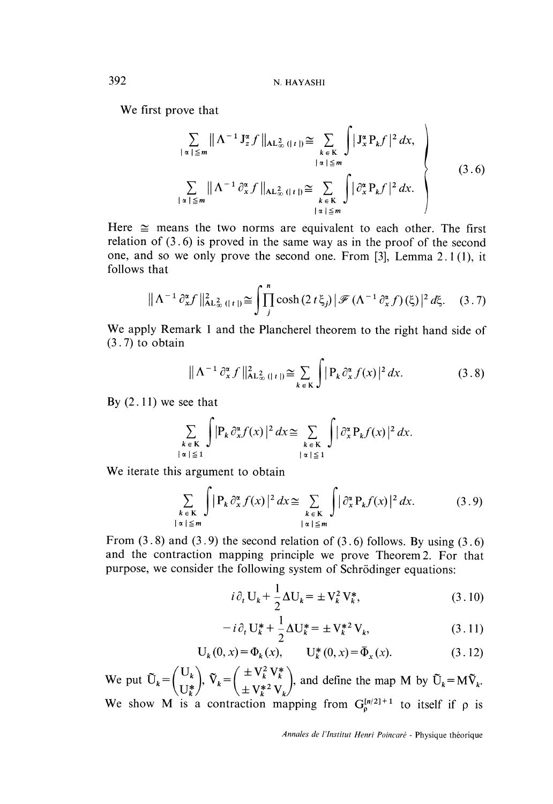We first prove that

$$
\sum_{|\alpha| \leq m} ||\Lambda^{-1} J_z^{\alpha} f||_{\text{AL}_{\infty}^2 (|t|)} \cong \sum_{\substack{k \in K \\ |\alpha| \leq m}} \int |J_x^{\alpha} P_k f|^2 dx,
$$
\n
$$
\sum_{|\alpha| \leq m} ||\Lambda^{-1} \partial_x^{\alpha} f||_{\text{AL}_{\infty}^2 (|t|)} \cong \sum_{\substack{k \in K \\ |\alpha| \leq m}} \int |\partial_x^{\alpha} P_k f|^2 dx.
$$
\n(3.6)

Here  $\approx$  means the two norms are equivalent to each other. The first relation of  $(3.6)$  is proved in the same way as in the proof of the second one, and so we only prove the second one. From  $[3]$ , Lemma 2.1(1), it follows that

$$
\|\Lambda^{-1}\partial_x^{\alpha}f\|_{\text{AL}_{\infty}^2(|t|)}^2 \cong \int_{j}^{n} \cosh(2\,t\,\xi_j) \,|\,\mathscr{F}\left(\Lambda^{-1}\partial_x^{\alpha}f\right)(\xi)\,|^2\,d\xi. \tag{3.7}
$$

We apply Remark 1 and the Plancherel theorem to the right hand side of  $(3.7)$  to obtain

$$
\|\Lambda^{-1}\partial_x^{\alpha} f\|_{\text{AL}_{\infty}^2(|t|)}^2 \cong \sum_{k \in \mathbf{K}} \int |P_k \partial_x^{\alpha} f(x)|^2 dx. \tag{3.8}
$$

By  $(2.11)$  we see that

$$
\sum_{\substack{k \in \mathcal{K} \\ |\alpha| \le 1}} \int_{\mathbb{R}} |P_k \partial_x^{\alpha} f(x)|^2 dx \cong \sum_{\substack{k \in \mathcal{K} \\ |\alpha| \le 1}} \int_{\mathbb{R}} |\partial_x^{\alpha} P_k f(x)|^2 dx.
$$

We iterate this argument to obtain

$$
\sum_{\substack{k \in \mathbb{K} \\ |\alpha| \le m}} \int |P_k \partial_x^{\alpha} f(x)|^2 dx \cong \sum_{\substack{k \in \mathbb{K} \\ |\alpha| \le m}} \int |\partial_x^{\alpha} P_k f(x)|^2 dx. \tag{3.9}
$$

From  $(3.8)$  and  $(3.9)$  the second relation of  $(3.6)$  follows. By using  $(3.6)$ and the contraction mapping principle we prove Theorem 2. For that purpose, we consider the following system of Schrödinger equations:

$$
i\partial_t \mathbf{U}_k + \frac{1}{2} \Delta \mathbf{U}_k = \pm \mathbf{V}_k^2 \mathbf{V}_k^*,\tag{3.10}
$$

$$
- i \partial_t U_k^* + \frac{1}{2} \Delta U_k^* = \pm V_k^{*2} V_k, \qquad (3.11)
$$

$$
U_k(0, x) = \Phi_k(x), \qquad U_k^*(0, x) = \bar{\Phi}_x(x). \tag{3.12}
$$

We put  $\tilde{U}_k = \begin{pmatrix} U_k \\ U_k^* \end{pmatrix}$ ,  $\tilde{V}_k = \begin{pmatrix} \pm V_k^2 V_k^* \\ \pm V_k^{*2} V_k \end{pmatrix}$ , and define the map M by  $\tilde{U}_k = M \tilde{V}_k$ .<br>We show M is a contraction mapping from  $G_0^{[n/2]+1}$  to itself if  $\rho$  is

Annales de l'Institut Henri Poincaré - Physique théorique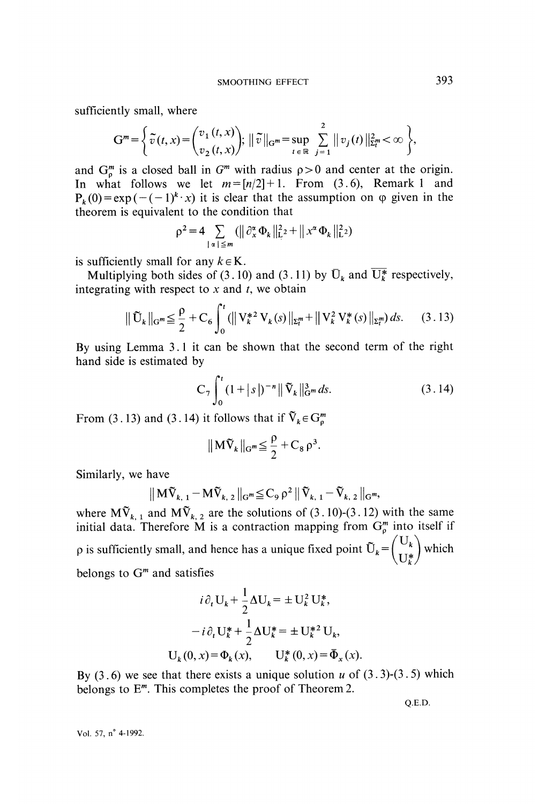sufficiently small, where

$$
G^{m} = \left\{ \tilde{v}(t,x) = \begin{pmatrix} v_{1}(t,x) \\ v_{2}(t,x) \end{pmatrix}; \; \|\tilde{v}\|_{G^{m}} = \sup_{t \in \mathbb{R}} \sum_{j=1}^{2} \|v_{j}(t)\|_{\Sigma_{t}^{m}}^{2} < \infty \right\},\,
$$

and  $G_{\rho}^{m}$  is a closed ball in  $G^{m}$  with radius  $\rho > 0$  and center at the origin. In what follows we let  $m=[n/2]+1$ . From (3.6), Remark 1 and  $P_{k}(0) = \exp(-(1)^{k} \cdot x)$  it is clear that the assumption on  $\varphi$  given in the theorem is equivalent to the condition that

$$
\rho^{2} = 4 \sum_{\|\alpha\| \leq m} (\|\partial_{x}^{\alpha} \Phi_{k}\|_{L^{2}}^{2} + \|\mathbf{x}^{\alpha} \Phi_{k}\|_{L^{2}}^{2})
$$

is sufficiently small for any  $k \in K$ .<br>Multiplying both sides of (2, 10) and (3, 11) by  $\overline{U}$ , and  $\overline{U}$ 

Multiplying both sides of (3.10) and (3.11) by  $U_k$  and  $U_k^*$  respectively, integrating with respect to  $x$  and  $t$ , we obtain

$$
\|\tilde{\mathbf{U}}_k\|_{\mathbf{G}^m} \leq \frac{\rho}{2} + \mathbf{C}_6 \int_0^t (||\mathbf{V}_k^{*2} \mathbf{V}_k(s)||_{\Sigma_t^m} + ||\mathbf{V}_k^2 \mathbf{V}_k^*(s)||_{\Sigma_t^m}) ds. \tag{3.13}
$$

By using Lemma 3.1 it can be shown that the second term of the right hand side is estimated by

$$
C_7 \int_0^t (1+|s|)^{-n} \|\tilde{\nabla}_k\|_{G^m}^3 ds.
$$
 (3.14)

From (3.13) and (3.14) it follows that if  $\tilde{V}_k \in G_p^m$ 

$$
\|\mathbf{M}\widetilde{\mathbf{V}}_k\|_{\mathbf{G}^m} \leq \frac{\rho}{2} + \mathbf{C}_8 \,\rho^3
$$

Similarly, we have

$$
\big\|\,M\tilde{V}_{k,\;1}-M\tilde{V}_{k,\;2}\,\big\|_{G^m}\!\!\leq\! C_9\,\rho^2\,\big\|\,\tilde{V}_{k,\;1}-\tilde{V}_{k,\;2}\,\big\|_{G^m}\!,
$$

where  $M\tilde{V}_{k,1}$  and  $M\tilde{V}_{k,2}$  are the solutions of (3.10)-(3.12) with the same initial data. Therefore M is a contraction mapping from  $G_0^m$  into itself if p is sufficiently small, and hence has a unique fixed point  $\tilde{U}_k = \begin{pmatrix} U_k \\ U^* \end{pmatrix}$  which belongs to  $G<sup>m</sup>$  and satisfies

$$
i \partial_t U_k + \frac{1}{2} \Delta U_k = \pm U_k^2 U_k^*,
$$
  
-  $i \partial_t U_k^* + \frac{1}{2} \Delta U_k^* = \pm U_k^{*2} U_k,$   

$$
U_k(0, x) = \Phi_k(x), \qquad U_k^*(0, x) = \Phi_x(x).
$$

By  $(3.6)$  we see that there exists a unique solution u of  $(3.3)-(3.5)$  which belongs to  $E^m$ . This completes the proof of Theorem 2.

Q.E.D.

Vol. 57, n° 4-1992.